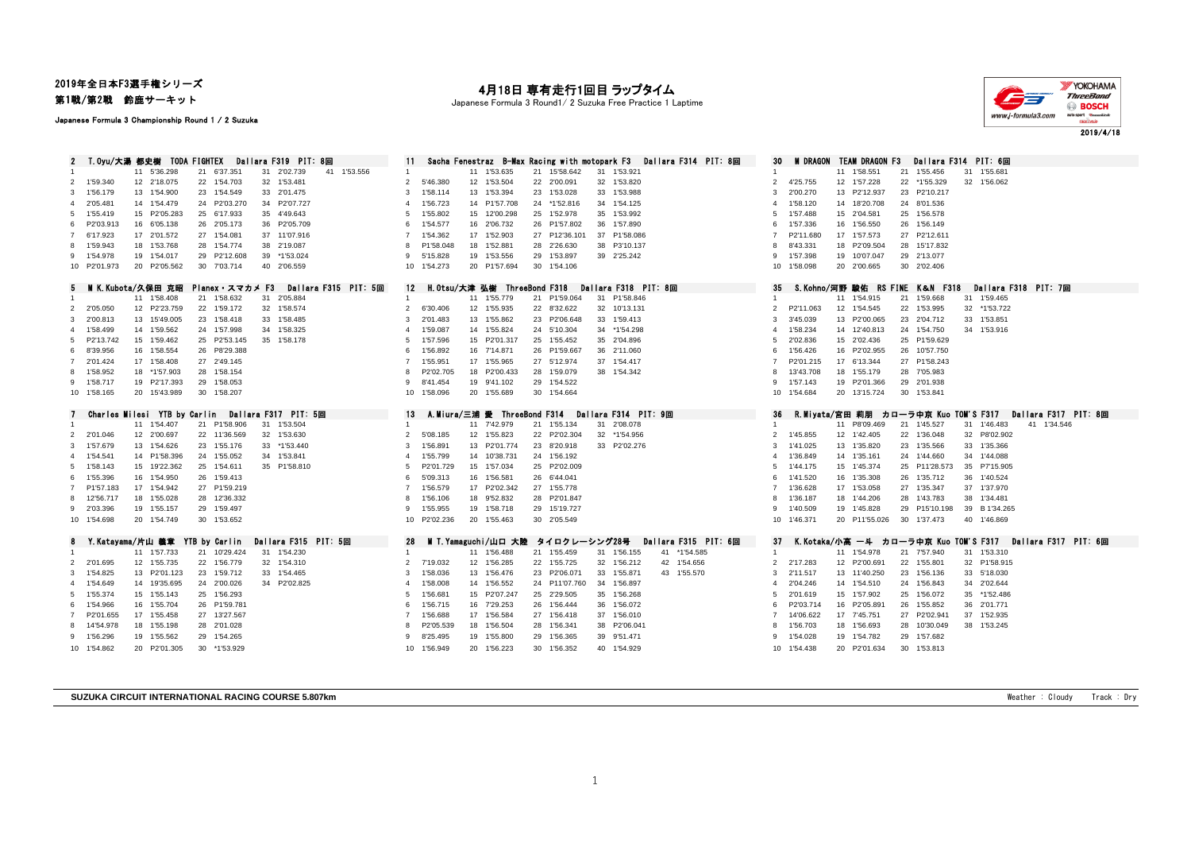2019年全日本F3選手権シリーズ

第1戦/第2戦 鈴鹿サーキット

Japanese Formula 3 Championship Round 1 / 2 Suzuka

## 月18日 専有走行1回目 ラップタイム

Japanese Formula 3 Round1/ 2 Suzuka Free Practice 1 Laptime



|                |                           | 2 T.Oyu/大湯 都史樹 TODA FIGHTEX  |                            | Dallara F319 PIT: 8回       |                      |                      |                          |                              |    | Sacha Fenestraz B-Max Racing with motopark F3 |                            | Dallara F314 PIT: 8回 | 30             | <b>M DRAGON</b>                |                              | TEAM DRAGON F3 |                              | Dallara F314 PIT: 6回         |                                               |
|----------------|---------------------------|------------------------------|----------------------------|----------------------------|----------------------|----------------------|--------------------------|------------------------------|----|-----------------------------------------------|----------------------------|----------------------|----------------|--------------------------------|------------------------------|----------------|------------------------------|------------------------------|-----------------------------------------------|
|                |                           |                              |                            |                            |                      | 11<br>$\overline{1}$ |                          |                              |    |                                               |                            |                      | $\mathbf{1}$   |                                | 11 1'58.551                  |                |                              |                              |                                               |
|                |                           | 11 5'36.298<br>12 2'18.075   | 21 6'37.351<br>22 1'54.703 | 31 2'02.739<br>32 1'53.481 | 41 1'53.556          | $\mathfrak{p}$       | 5'46.380                 | 11 1'53.635<br>12 1'53.504   |    | 21 15'58.642<br>22 2'00.091                   | 31 1'53.921<br>32 1'53.820 |                      | 2              | 4'25.755                       | 12 1'57.228                  |                | 21 1'55.456<br>22 *1'55.329  | 31 1'55.681<br>32 1'56.062   |                                               |
|                | 2 1'59.340                |                              |                            |                            |                      | 3                    |                          |                              |    |                                               |                            |                      |                |                                |                              |                |                              |                              |                                               |
|                | 3 1'56.179                | 13 1'54.900                  | 23 1'54.549                | 33 2'01.475                |                      |                      | 1'58.114                 | 13 1'53.394                  |    | 23 1'53.028                                   | 33 1'53.988                |                      | 3              | 2'00.270                       | 13 P2'12.937                 |                | 23 P2'10.217                 |                              |                                               |
| $\overline{4}$ | 2'05.481                  | 14 1'54.479                  | 24 P2'03.270               | 34 P2'07.727               |                      |                      | 1'56.723                 | 14 P1'57.708                 | 24 | *1'52.816                                     | 34 1'54.125                |                      |                | 1'58.120                       | 14 18'20.708                 |                | 24 8'01.536                  |                              |                                               |
|                | 5 1'55.419                | 15 P2'05.283                 | 25 6'17.933                | 35 4'49.643                |                      | 5                    | 1'55.802                 | 15 12'00.298                 |    | 25 1'52.978                                   | 35 1'53.992                |                      | -5             | 1'57.488                       | 15 2'04.581                  |                | 25 1'56.578                  |                              |                                               |
| 6              | P2'03.913                 | 16 6'05.138                  | 26 2'05.173                | 36 P2'05.709               |                      | 6                    | 1'54.577                 | 16 2'06.732                  |    | 26 P1'57.802                                  | 36 1'57.890                |                      | -6             | 1'57.336                       | 16 1'56.550                  |                | 26 1'56.149                  |                              |                                               |
|                | 7 6'17.923                | 17 2'01.572                  | 27 1'54.081                | 37 11'07.916               |                      | $\overline{7}$       | 1'54.362                 | 17 1'52,903                  |    | 27 P12'36.101                                 | 37 P1'58,086               |                      | 7              | P2'11.680                      | 17 1'57.573                  |                | 27 P2'12.611                 |                              |                                               |
| 8              | 1'59.943                  | 18 1'53.768                  | 28 1'54.774                | 38 2'19.087                |                      | 8                    | P1'58.048                | 18 1'52.881                  |    | 28 2'26,630                                   | 38 P3'10.137               |                      |                | 8'43.331                       | 18 P2'09.504                 |                | 28 15'17.832                 |                              |                                               |
|                | 9 1'54.978                | 19 1'54.017                  | 29 P2'12.608               | 39<br>*1'53.024            |                      | 9                    | 5'15.828                 | 19 1'53.556                  | 29 | 1'53.897                                      | 39 2'25.242                |                      | -9             | 1'57.398                       | 19 10'07.047                 |                | 29 2'13.077                  |                              |                                               |
|                | 10 P2'01.973              | 20 P2'05.562                 | 30 7'03.714                | 40 2'06.559                |                      |                      | 10 1'54.273              | 20 P1'57.694                 |    | 30 1'54.106                                   |                            |                      |                | 10 1'58.098                    | 20 2'00.665                  |                | 30 2'02.406                  |                              |                                               |
| 5.             |                           | MIK.Kubota/久保田 克昭            | Planex・スマカメ F3             |                            | Dallara F315 PIT: 5回 | 12                   |                          | H.Otsu/大津 弘樹 ThreeBond F318  |    |                                               | Dallara F318 PIT: 8回       |                      | 35             | S.Kohno/河野 駿佑 RS FINE K&N F318 |                              |                |                              | Dallara F318 PIT: 7回         |                                               |
|                |                           | 11 1'58.408                  | 21 1'58.632                | 31 2'05.884                |                      | $\overline{1}$       |                          | 11 1'55.779                  |    | 21 P1'59.064                                  | 31 P1'58.846               |                      |                |                                | 11 1'54.915                  |                | 21 1'59.668                  | 31 1'59.465                  |                                               |
|                | 2 2'05.050                | 12 P2'23.759                 | 22 1'59.172                | 32 1'58.574                |                      | $\overline{2}$       | 6'30.406                 | 12 1'55.935                  |    | 22 8'32.622                                   | 32 10'13.131               |                      | 2              | P2'11.063                      | 12 1'54.545                  |                | 22 1'53.995                  | 32 *1'53.722                 |                                               |
|                | 3 2'00.813                | 13 15'49.005                 | 23<br>1'58.418             | 33 1'58.485                |                      | 3                    | 2'01.483                 | 13 1'55.862                  |    | 23 P2'06.648                                  | 33 1'59.413                |                      | 3              | 3'45.039                       | 13 P2'00.065                 |                | 23 2'04.712                  | 33 1'53.851                  |                                               |
| $\overline{a}$ | 1'58.499                  | 14 1'59.562                  | 24 1'57.998                | 34 1'58.325                |                      | $\overline{4}$       | 1'59.087                 | 14 1'55.824                  |    | 24 5'10.304                                   | 34 *1'54.298               |                      | $\mathbf{A}$   | 1'58.234                       | 14 12'40.813                 |                | 24 1'54.750                  | 34 1'53,916                  |                                               |
| 5              | P2'13.742                 | 15 1'59.462                  | 25 P2'53.145               | 35 1'58.178                |                      | 5                    | 1'57.596                 | 15 P2'01.317                 | 25 | 1'55.452                                      | 35 2'04.896                |                      | -5             | 2'02.836                       | 15 2'02.436                  |                | 25 P1'59.629                 |                              |                                               |
|                | 6 8'39.956                | 16 1'58.554                  | 26 P8'29.388               |                            |                      | 6                    | 1'56.892                 | 16 7'14.871                  | 26 | P1'59.667                                     | 36 2'11.060                |                      | -6             | 1'56.426                       | 16 P2'02.955                 |                | 26 10'57.750                 |                              |                                               |
|                | 7 2'01.424                | 17 1'58.408                  | 27 2'49.145                |                            |                      | 7                    | 1'55.951                 | 17 1'55.965                  |    | 27 5'12.974                                   | 37 1'54.417                |                      | 7              | P2'01.215                      | 17 6'13.344                  |                | 27 P1'58.243                 |                              |                                               |
|                |                           | 18 *1'57.903                 |                            |                            |                      |                      |                          | 18 P2'00.433                 |    |                                               |                            |                      |                |                                |                              |                |                              |                              |                                               |
| 8              | 1'58.952                  |                              | 28<br>1'58.154             |                            |                      | 8                    | P2'02.705                |                              | 28 | 1'59.079                                      | 38 1'54.342                |                      |                | 13'43.708                      | 1'55.179<br>18               |                | 28 7'05.983                  |                              |                                               |
|                | 9 1'58.717                | 19 P2'17.393                 | 29 1'58.053                |                            |                      | 9                    | 8'41.454                 | 19 9'41.102                  |    | 29 1'54.522                                   |                            |                      | $\mathbf{Q}$   | 1'57.143                       | 19 P2'01.366                 |                | 29 2'01.938                  |                              |                                               |
|                | 10 1'58.165               | 20 15'43.989                 | 30 1'58.207                |                            |                      |                      | 10 1'58.096              | 20 1'55.689                  |    | 30 1'54.664                                   |                            |                      |                | 10 1'54.684                    | 20 13'15.724                 |                | 30 1'53.841                  |                              |                                               |
|                |                           |                              |                            |                            |                      |                      |                          |                              |    |                                               |                            |                      |                |                                |                              |                |                              |                              |                                               |
| 7              |                           | Charles Milesi YTB by Carlin |                            | Dallara F317 PIT: 5回       |                      | 13                   |                          | A. Miura/三浦 愛 ThreeBond F314 |    |                                               | Dallara F314 PIT: 9回       |                      | 36             | R.Miyata/宮田 莉朋                 |                              |                | カローラ中亰 Kuo TOM'S F317        |                              | Dallara F317 PIT: 8回                          |
|                |                           | 11 1'54.407                  | 21 P1'58.906               | 31<br>1'53.504             |                      | -1                   |                          | 11 7'42,979                  |    | 21 1'55.134                                   | 31 2'08.078                |                      | $\mathbf{1}$   |                                | 11 P8'09.469                 |                | 21 1'45.527                  | 31 1'46.483                  | 41 1'34.546                                   |
|                | 2 2'01.046                | 12 2'00.697                  | 22 11'36.569               | 32 1'53.630                |                      | $\mathfrak{p}$       | 5'08.185                 | 12 1'55.823                  |    | 22 P2'02.304                                  | 32<br>*1'54.956            |                      | 2              | 1'45.855                       | 12<br>1'42.405               |                | 22 1'36.048                  | 32 P8'02.902                 |                                               |
|                | 3 1'57.679                | 13 1'54.626                  | 23<br>1'55.176             | 33 *1'53.440               |                      | 3                    | 1'56.891                 | 13 P2'01.774                 | 23 | 8'20.918                                      | 33 P2'02.276               |                      | 3              | 1'41.025                       | 1'35.820<br>13               |                | 23 1'35.566                  | 33 1'35.366                  |                                               |
|                | 4 1'54.541                | 14 P1'58.396                 | 24<br>1'55.052             | 34 1'53.841                |                      | $\mathbf{4}$         | 1'55.799                 | 14 10'38.731                 |    | 24 1'56.192                                   |                            |                      | $\mathbf{A}$   | 1'36.849                       | 14 1'35.161                  |                | 24 1'44.660                  | 34 1'44.088                  |                                               |
|                | 5 1'58.143                | 15 19'22.362                 | 25<br>1'54.611             | 35 P1'58.810               |                      | 5                    | P2'01.729                | 15 1'57.034                  |    | 25 P2'02.009                                  |                            |                      | -5             | 1'44.175                       | 15<br>1'45.374               |                | 25 P11'28.573                | 35 P7'15.905                 |                                               |
| 6              | 1'55.396                  | 16 1'54.950                  | 26 1'59.413                |                            |                      | 6                    | 5'09.313                 | 16 1'56.581                  |    | 26 6'44.041                                   |                            |                      | -6             | 1'41.520                       | 16 1'35.308                  |                | 26 1'35.712                  | 36 1'40.524                  |                                               |
| $7^{\circ}$    | P1'57.183                 | 17 1'54.942                  | 27 P1'59.219               |                            |                      |                      | 1'56.579                 | 17 P2'02.342                 |    | 27 1'55.778                                   |                            |                      |                | 1'36.628                       | 17<br>1'53.058               |                | 27 1'35.347                  | 37 1'37.970                  |                                               |
| 8              | 12'56.717                 | 18 1'55.028                  | 28 12'36.332               |                            |                      | 8                    | 1'56.106                 | 18 9'52.832                  |    | 28 P2'01.847                                  |                            |                      |                | 1'36.187                       | 18<br>1'44.206               |                | 28 1'43.783                  | 38 1'34.481                  |                                               |
|                |                           |                              | 29                         |                            |                      | 9                    |                          |                              |    |                                               |                            |                      | -9             | 1'40.509                       |                              |                |                              |                              |                                               |
|                | 9 2'03.396<br>10 1'54.698 | 19 1'55.157<br>20 1'54.749   | 1'59.497<br>30 1'53.652    |                            |                      |                      | 1'55.955<br>10 P2'02.236 | 19 1'58.718<br>20 1'55.463   |    | 29 15'19.727<br>30 2'05.549                   |                            |                      |                | 10 1'46.371                    | 19 1'45.828<br>20 P11'55.026 |                | 29 P15'10.198<br>30 1'37.473 | 39 B 1'34.265<br>40 1'46.869 |                                               |
|                |                           |                              |                            |                            |                      |                      |                          |                              |    |                                               |                            |                      |                |                                |                              |                |                              |                              |                                               |
| 8              |                           | Y.Katayama/片山 義章             | YTB by Carlin              | Dallara F315 PIT: 5回       |                      | 28                   |                          | M T. Yamaguchi/山口 大陸         |    | タイロクレーシング28号                                  |                            | Dallara F315 PIT: 6回 | 37             | K.Kotaka/小高 一斗                 |                              |                |                              |                              | カローラ中亰 Kuo TOM'S F317 - Dallara F317 -PIT: 6回 |
|                |                           | 11 1'57.733                  | 21 10'29.424               | 31 1'54.230                |                      | $\overline{1}$       |                          | 11 1'56.488                  |    | 21 1'55.459                                   | 31 1'56.155                | 41 *1'54.585         | $\mathbf{1}$   |                                | 11 1'54.978                  |                | 21 7'57.940                  | 31 1'53.310                  |                                               |
|                | 2 2'01.695                | 12 1'55.735                  | 22 1'56.779                | 32 1'54.310                |                      | $\overline{2}$       | 7'19.032                 | 12 1'56.285                  |    | 22 1'55.725                                   | 32 1'56.212                | 42 1'54.656          | 2              | 2'17.283                       | 12 P2'00.691                 |                | 22 1'55.801                  | 32 P1'58.915                 |                                               |
|                | 3 1'54.825                | 13 P2'01.123                 | 23<br>1'59.712             | 33 1'54.465                |                      | 3                    | 1'58.036                 | 13 1'56.476                  | 23 | P2'06.071                                     | 33 1'55.871                | 43 1'55.570          | 3              | 2'11.517                       | 13 11'40.250                 |                | 23 1'56.136                  | 33 5'18.030                  |                                               |
|                | 4 1'54.649                | 14 19'35.695                 | 24 2'00.026                | 34 P2'02.825               |                      | 4                    | 1'58.008                 | 14 1'56.552                  |    | 24 P11'07.760                                 | 34 1'56.897                |                      | $\overline{4}$ | 2'04.246                       | 14 1'54.510                  |                | 24 1'56.843                  | 34 2'02.644                  |                                               |
| 5              | 1'55.374                  | 15 1'55.143                  | 25<br>1'56.293             |                            |                      | 5                    | 1'56.681                 | 15 P2'07.247                 | 25 | 2'29.505                                      | 35 1'56.268                |                      | -5             | 2'01.619                       | 15<br>1'57.902               |                | 25 1'56.072                  | 35 *1'52.486                 |                                               |
|                | 6 1'54.966                | 16 1'55.704                  | 26 P1'59.781               |                            |                      | 6                    | 1'56.715                 | 16 7'29.253                  | 26 | 1'56.444                                      | 36 1'56.072                |                      | -6             | P2'03.714                      | 16 P2'05.891                 |                | 26 1'55.852                  | 36 2'01.771                  |                                               |
|                | P2'01.655                 | 17 1'55.458                  | 27 13'27.567               |                            |                      |                      | 1'56.688                 | 17 1'56.584                  | 27 | 1'56.418                                      | 37 1'56.010                |                      | -7             | 14'06.622                      | 17 7'45.751                  |                | 27 P2'02.941                 | 37 1'52.935                  |                                               |
|                | 8 14'54.978               | 18 1'55.198                  | 28 2'01.028                |                            |                      | 8                    | P2'05.539                | 18 1'56.504                  | 28 | 1'56.341                                      | 38 P2'06.041               |                      |                | 1'56.703                       | 18 1'56.693                  |                | 28 10'30.049                 | 38 1'53.245                  |                                               |
|                | 9 1'56.296                | 19 1'55.562                  | 29 1'54.265                |                            |                      |                      | 8'25.495                 | 19 1'55.800                  | 29 | 1'56.365                                      | 39 9'51.471                |                      |                | 1'54.028                       | 19 1'54.782                  |                | 29 1'57.682                  |                              |                                               |
|                | 10 1'54.862               | 20 P2'01.305                 | *1'53.929<br>30            |                            |                      |                      | 10 1'56.949              | 20 1'56.223                  | 30 | 1'56.352                                      | 40 1'54.929                |                      |                | 10 1'54.438                    | 20 P2'01.634                 |                | 30 1'53.813                  |                              |                                               |

**SUZUKA CIRCUIT INTERNATIONAL RACING COURSE 5.807km** Weather 1 Cloudy Track : Dry